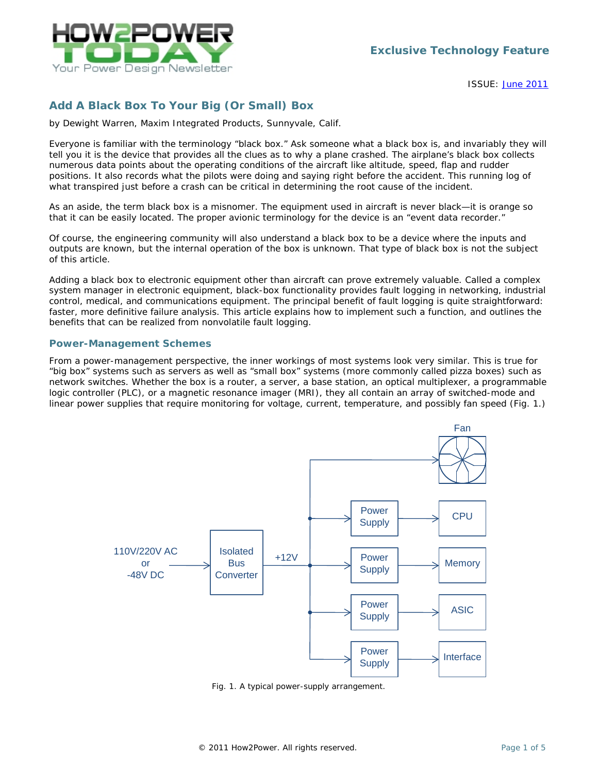

ISSUE: [June](http://www.how2power.com/newsletters/1106/index.html) 2011

# *Add A Black Box To Your Big (Or Small) Box*

*by Dewight Warren, Maxim Integrated Products, Sunnyvale, Calif.*

Everyone is familiar with the terminology "black box." Ask someone what a black box is, and invariably they will tell you it is the device that provides all the clues as to why a plane crashed. The airplane's black box collects numerous data points about the operating conditions of the aircraft like altitude, speed, flap and rudder positions. It also records what the pilots were doing and saying right before the accident. This running log of what transpired just before a crash can be critical in determining the root cause of the incident.

As an aside, the term black box is a misnomer. The equipment used in aircraft is never black—it is orange so that it can be easily located. The proper avionic terminology for the device is an "event data recorder."

Of course, the engineering community will also understand a black box to be a device where the inputs and outputs are known, but the internal operation of the box is unknown. That type of black box is not the subject of this article.

Adding a black box to electronic equipment other than aircraft can prove extremely valuable. Called a complex system manager in electronic equipment, black-box functionality provides fault logging in networking, industrial control, medical, and communications equipment. The principal benefit of fault logging is quite straightforward: faster, more definitive failure analysis. This article explains how to implement such a function, and outlines the benefits that can be realized from nonvolatile fault logging.

#### *Power-Management Schemes*

From a power-management perspective, the inner workings of most systems look very similar. This is true for "big box" systems such as servers as well as "small box" systems (more commonly called pizza boxes) such as network switches. Whether the box is a router, a server, a base station, an optical multiplexer, a programmable logic controller (PLC), or a magnetic resonance imager (MRI), they all contain an array of switched-mode and linear power supplies that require monitoring for voltage, current, temperature, and possibly fan speed (Fig. 1.)



*Fig. 1. A typical power-supply arrangement.*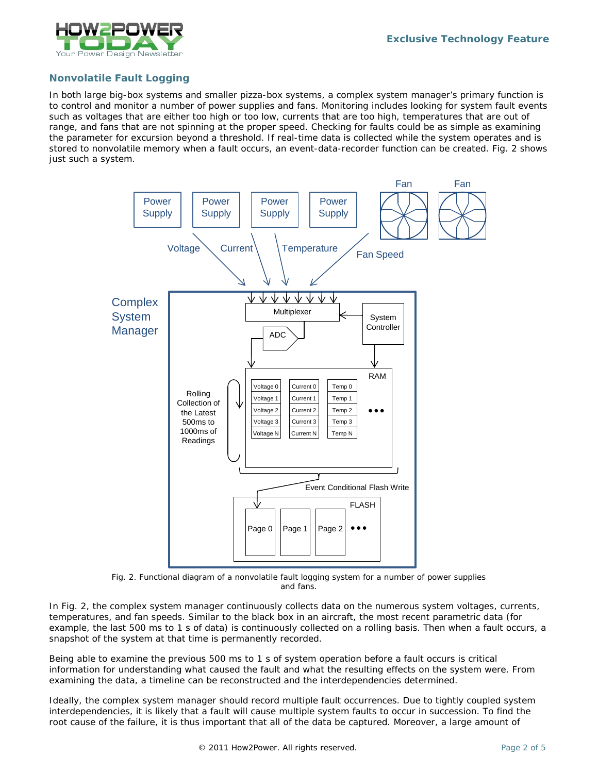

## *Nonvolatile Fault Logging*

In both large big-box systems and smaller pizza-box systems, a complex system manager's primary function is to control and monitor a number of power supplies and fans. Monitoring includes looking for system fault events such as voltages that are either too high or too low, currents that are too high, temperatures that are out of range, and fans that are not spinning at the proper speed. Checking for faults could be as simple as examining the parameter for excursion beyond a threshold. If real-time data is collected while the system operates and is stored to nonvolatile memory when a fault occurs, an event-data-recorder function can be created. Fig. 2 shows just such a system.



*Fig. 2. Functional diagram of a nonvolatile fault logging system for a number of power supplies and fans.*

In Fig. 2, the complex system manager continuously collects data on the numerous system voltages, currents, temperatures, and fan speeds. Similar to the black box in an aircraft, the most recent parametric data (for example, the last 500 ms to 1 s of data) is continuously collected on a rolling basis. Then when a fault occurs, a snapshot of the system at that time is permanently recorded.

Being able to examine the previous 500 ms to 1 s of system operation before a fault occurs is critical information for understanding what caused the fault and what the resulting effects on the system were. From examining the data, a timeline can be reconstructed and the interdependencies determined.

Ideally, the complex system manager should record multiple fault occurrences. Due to tightly coupled system interdependencies, it is likely that a fault will cause multiple system faults to occur in succession. To find the root cause of the failure, it is thus important that all of the data be captured. Moreover, a large amount of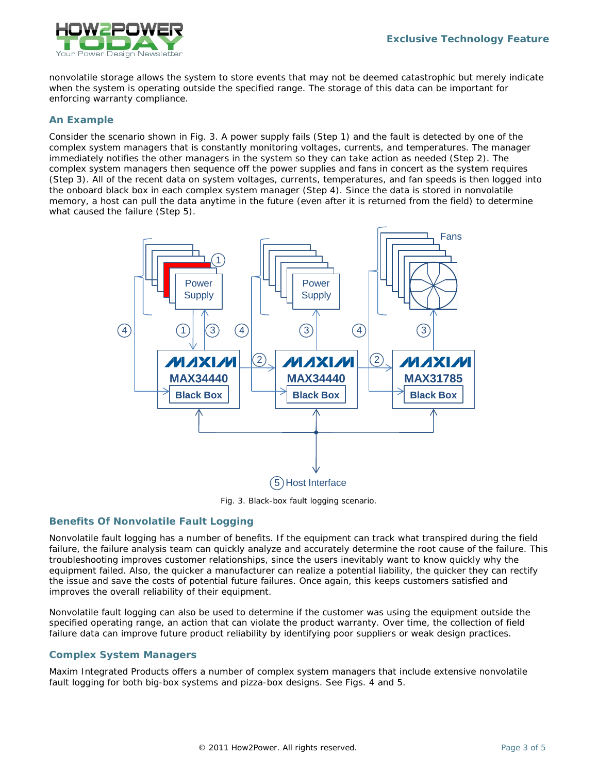

nonvolatile storage allows the system to store events that may not be deemed catastrophic but merely indicate when the system is operating outside the specified range. The storage of this data can be important for enforcing warranty compliance.

#### *An Example*

Consider the scenario shown in Fig. 3. A power supply fails (Step 1) and the fault is detected by one of the complex system managers that is constantly monitoring voltages, currents, and temperatures. The manager immediately notifies the other managers in the system so they can take action as needed (Step 2). The complex system managers then sequence off the power supplies and fans in concert as the system requires (Step 3). All of the recent data on system voltages, currents, temperatures, and fan speeds is then logged into the onboard black box in each complex system manager (Step 4). Since the data is stored in nonvolatile memory, a host can pull the data anytime in the future (even after it is returned from the field) to determine what caused the failure (Step 5).



*Fig. 3. Black-box fault logging scenario.*

### *Benefits Of Nonvolatile Fault Logging*

Nonvolatile fault logging has a number of benefits. If the equipment can track what transpired during the field failure, the failure analysis team can quickly analyze and accurately determine the root cause of the failure. This troubleshooting improves customer relationships, since the users inevitably want to know quickly why the equipment failed. Also, the quicker a manufacturer can realize a potential liability, the quicker they can rectify the issue and save the costs of potential future failures. Once again, this keeps customers satisfied and improves the overall reliability of their equipment.

Nonvolatile fault logging can also be used to determine if the customer was using the equipment outside the specified operating range, an action that can violate the product warranty. Over time, the collection of field failure data can improve future product reliability by identifying poor suppliers or weak design practices.

### *Complex System Managers*

Maxim Integrated Products offers a number of complex system managers that include extensive nonvolatile fault logging for both big-box systems and pizza-box designs. See Figs. 4 and 5.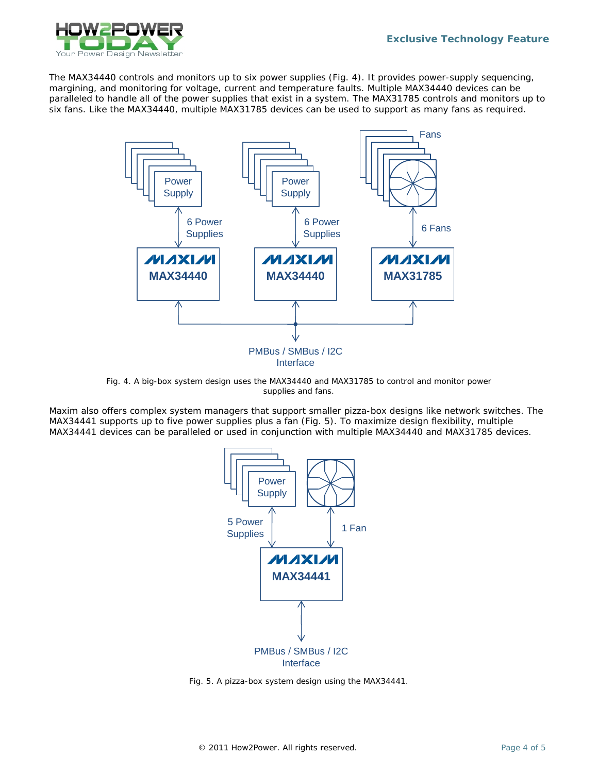

The MAX34440 controls and monitors up to six power supplies (Fig. 4). It provides power-supply sequencing, margining, and monitoring for voltage, current and temperature faults. Multiple MAX34440 devices can be paralleled to handle all of the power supplies that exist in a system. The MAX31785 controls and monitors up to six fans. Like the MAX34440, multiple MAX31785 devices can be used to support as many fans as required.



*Fig. 4. A big-box system design uses the MAX34440 and MAX31785 to control and monitor power supplies and fans.*

Maxim also offers complex system managers that support smaller pizza-box designs like network switches. The MAX34441 supports up to five power supplies plus a fan (Fig. 5). To maximize design flexibility, multiple MAX34441 devices can be paralleled or used in conjunction with multiple MAX34440 and MAX31785 devices.



*Fig. 5. A pizza-box system design using the MAX34441.*